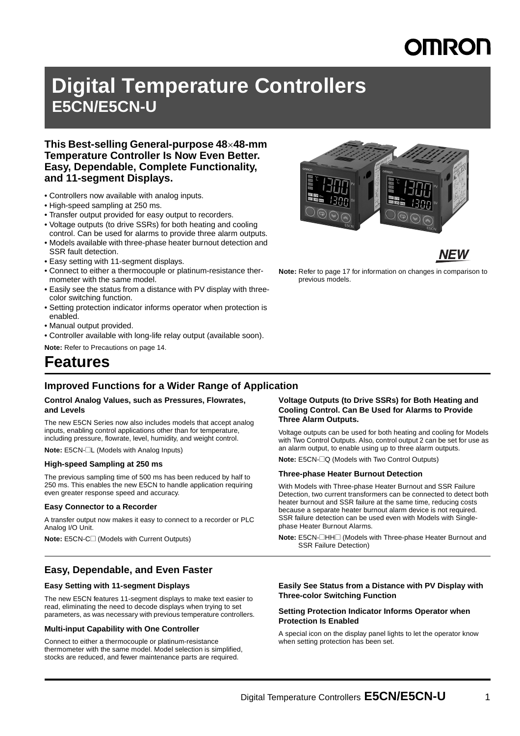# **OMROL**

# **Digital Temperature Controllers E5CN/E5CN-U**

## **This Best-selling General-purpose 4848-mm Temperature Controller Is Now Even Better. Easy, Dependable, Complete Functionality, and 11-segment Displays.**

- Controllers now available with analog inputs.
- High-speed sampling at 250 ms.
- Transfer output provided for easy output to recorders.
- Voltage outputs (to drive SSRs) for both heating and cooling control. Can be used for alarms to provide three alarm outputs.
- Models available with three-phase heater burnout detection and SSR fault detection.
- Easy setting with 11-segment displays.
- Connect to either a thermocouple or platinum-resistance thermometer with the same model.
- Easily see the status from a distance with PV display with threecolor switching function.
- Setting protection indicator informs operator when protection is enabled.
- Manual output provided.
- Controller available with long-life relay output (available soon).

**Note:** Refer to Precautions on page 14.

# **Features**

## **Improved Functions for a Wider Range of Application**

#### **Control Analog Values, such as Pressures, Flowrates, and Levels**

The new E5CN Series now also includes models that accept analog inputs, enabling control applications other than for temperature, including pressure, flowrate, level, humidity, and weight control.

**Note:** E5CN-@L (Models with Analog Inputs)

### **High-speed Sampling at 250 ms**

The previous sampling time of 500 ms has been reduced by half to 250 ms. This enables the new E5CN to handle application requiring even greater response speed and accuracy.

#### **Easy Connector to a Recorder**

A transfer output now makes it easy to connect to a recorder or PLC Analog I/O Unit.

**Note:** E5CN-C□ (Models with Current Outputs)

### **Easy, Dependable, and Even Faster**

#### **Easy Setting with 11-segment Displays**

The new E5CN features 11-segment displays to make text easier to read, eliminating the need to decode displays when trying to set parameters, as was necessary with previous temperature controllers.

### **Multi-input Capability with One Controller**

Connect to either a thermocouple or platinum-resistance thermometer with the same model. Model selection is simplified, stocks are reduced, and fewer maintenance parts are required.



Voltage outputs can be used for both heating and cooling for Models with Two Control Outputs. Also, control output 2 can be set for use as an alarm output, to enable using up to three alarm outputs.

**Note:** E5CN- $\Box$ Q (Models with Two Control Outputs)

#### **Three-phase Heater Burnout Detection**

With Models with Three-phase Heater Burnout and SSR Failure Detection, two current transformers can be connected to detect both heater burnout and SSR failure at the same time, reducing costs because a separate heater burnout alarm device is not required. SSR failure detection can be used even with Models with Singlephase Heater Burnout Alarms.

**Note:** E5CN-@HH@ (Models with Three-phase Heater Burnout and SSR Failure Detection)

#### **Easily See Status from a Distance with PV Display with Three-color Switching Function**

#### **Setting Protection Indicator Informs Operator when Protection Is Enabled**

A special icon on the display panel lights to let the operator know when setting protection has been set.

**NEW Note:** Refer to page 17 for information on changes in comparison to

previous models.

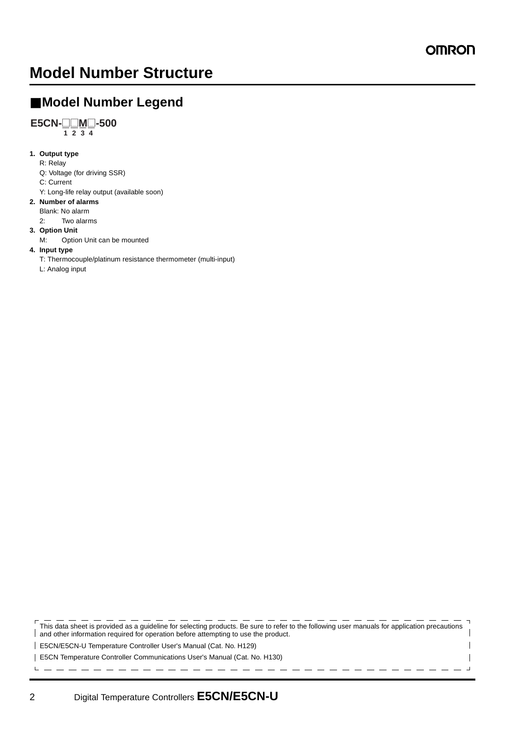$\overline{\phantom{a}}$ 

 $\blacksquare$ 

# **Model Number Structure**

## ■ **Model Number Legend**

## **E5CN-**@@**M**@**-500**

 $\overline{1}$  **2**  $\overline{3}$  **4** 

## **1. Output type**

- R: Relay
- Q: Voltage (for driving SSR)
- C: Current
- Y: Long-life relay output (available soon)
- **2. Number of alarms**
- Blank: No alarm
	- 2: Two alarms

### **3. Option Unit**

M: Option Unit can be mounted

### **4. Input type**

T: Thermocouple/platinum resistance thermometer (multi-input)

L: Analog input

This data sheet is provided as a guideline for selecting products. Be sure to refer to the following user manuals for application precautions and other information required for operation before attempting to use the product.

E5CN/E5CN-U Temperature Controller User's Manual (Cat. No. H129)

E5CN Temperature Controller Communications User's Manual (Cat. No. H130)

 $\mathbf{L}$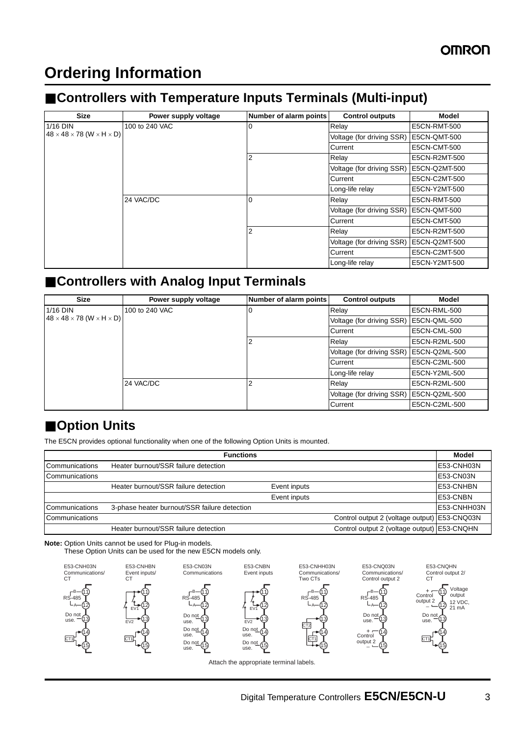# **Ordering Information**

# ■ **Controllers with Temperature Inputs Terminals (Multi-input)**

| <b>Size</b>                                        | Power supply voltage | Number of alarm points | <b>Control outputs</b>    | Model               |
|----------------------------------------------------|----------------------|------------------------|---------------------------|---------------------|
| 1/16 DIN                                           | 100 to 240 VAC       | 0                      | Relay                     | E5CN-RMT-500        |
| $48 \times 48 \times 78$ (W $\times$ H $\times$ D) |                      |                        | Voltage (for driving SSR) | <b>E5CN-QMT-500</b> |
|                                                    |                      |                        | Current                   | <b>E5CN-CMT-500</b> |
|                                                    |                      | 2                      | Relay                     | E5CN-R2MT-500       |
|                                                    |                      |                        | Voltage (for driving SSR) | E5CN-Q2MT-500       |
|                                                    |                      |                        | Current                   | E5CN-C2MT-500       |
|                                                    |                      |                        | Long-life relay           | E5CN-Y2MT-500       |
|                                                    | 24 VAC/DC            | $\Omega$               | Relay                     | <b>E5CN-RMT-500</b> |
|                                                    |                      |                        | Voltage (for driving SSR) | <b>E5CN-QMT-500</b> |
|                                                    |                      |                        | Current                   | <b>E5CN-CMT-500</b> |
|                                                    |                      | 2                      | Relay                     | E5CN-R2MT-500       |
|                                                    |                      |                        | Voltage (for driving SSR) | E5CN-Q2MT-500       |
|                                                    |                      |                        | Current                   | E5CN-C2MT-500       |
|                                                    |                      |                        | Long-life relay           | E5CN-Y2MT-500       |

# ■ **Controllers with Analog Input Terminals**

| <b>Size</b>                                        | Power supply voltage | Number of alarm points | <b>Control outputs</b>    | <b>Model</b>        |
|----------------------------------------------------|----------------------|------------------------|---------------------------|---------------------|
| 1/16 DIN                                           | 100 to 240 VAC       | 0                      | Relay                     | E5CN-RML-500        |
| $48 \times 48 \times 78$ (W $\times$ H $\times$ D) |                      |                        | Voltage (for driving SSR) | E5CN-QML-500        |
|                                                    |                      |                        | Current                   | <b>E5CN-CML-500</b> |
|                                                    |                      | 2                      | Relay                     | E5CN-R2ML-500       |
|                                                    |                      |                        | Voltage (for driving SSR) | E5CN-Q2ML-500       |
|                                                    |                      |                        | Current                   | E5CN-C2ML-500       |
|                                                    |                      |                        | Long-life relay           | E5CN-Y2ML-500       |
|                                                    | 24 VAC/DC            | າ                      | Relay                     | E5CN-R2ML-500       |
|                                                    |                      |                        | Voltage (for driving SSR) | E5CN-Q2ML-500       |
|                                                    |                      |                        | Current                   | E5CN-C2ML-500       |

## ■ Option Units

The E5CN provides optional functionality when one of the following Option Units is mounted.

| <b>Functions</b>      |                                              |              |                                              |                  |
|-----------------------|----------------------------------------------|--------------|----------------------------------------------|------------------|
| <b>Communications</b> | Heater burnout/SSR failure detection         |              |                                              | E53-CNH03N       |
| Communications        |                                              |              |                                              | E53-CN03N        |
|                       | Heater burnout/SSR failure detection         | Event inputs |                                              | <b>E53-CNHBN</b> |
|                       |                                              | Event inputs |                                              | E53-CNBN         |
| <b>Communications</b> | 3-phase heater burnout/SSR failure detection |              |                                              | E53-CNHH03N      |
| Communications        |                                              |              | Control output 2 (voltage output) E53-CNQ03N |                  |
|                       | Heater burnout/SSR failure detection         |              | Control output 2 (voltage output) E53-CNQHN  |                  |

**Note:** Option Units cannot be used for Plug-in models.

These Option Units can be used for the new E5CN models only.

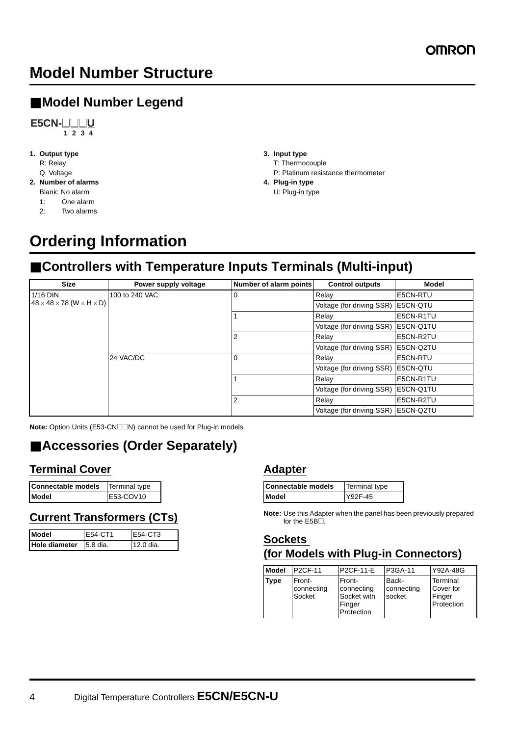# **Model Number Structure**

# ■ **Model Number Legend**



- **1. Output type** R: Relay
	- Q: Voltage
- **2. Number of alarms**
	- Blank: No alarm
	- 1: One alarm
	- 2: Two alarms
- **3. Input type** T: Thermocouple P: Platinum resistance thermometer
- **4. Plug-in type** U: Plug-in type

# **Ordering Information**

# ■ **Controllers with Temperature Inputs Terminals (Multi-input)**

| <b>Size</b>                                        | Power supply voltage | Number of alarm points | <b>Control outputs</b>                | Model             |
|----------------------------------------------------|----------------------|------------------------|---------------------------------------|-------------------|
| $1/16$ DIN                                         | 100 to 240 VAC       |                        | Relay                                 | E5CN-RTU          |
| $48 \times 48 \times 78$ (W $\times$ H $\times$ D) |                      |                        | Voltage (for driving SSR)             | IE5CN-QTU         |
|                                                    |                      |                        | Relay                                 | E5CN-R1TU         |
|                                                    |                      |                        | Voltage (for driving SSR)             | E5CN-Q1TU         |
|                                                    |                      |                        | Relay                                 | E5CN-R2TU         |
|                                                    |                      |                        | Voltage (for driving SSR)             | <b>IE5CN-Q2TU</b> |
|                                                    | 24 VAC/DC            |                        | Relav                                 | E5CN-RTU          |
|                                                    |                      |                        | Voltage (for driving SSR)             | E5CN-QTU          |
|                                                    |                      |                        | Relay                                 | E5CN-R1TU         |
|                                                    |                      |                        | Voltage (for driving SSR)             | E5CN-Q1TU         |
|                                                    |                      | っ                      | Relay                                 | E5CN-R2TU         |
|                                                    |                      |                        | Voltage (for driving SSR)   E5CN-Q2TU |                   |

**Note:** Option Units (E53-CN□□N) cannot be used for Plug-in models.

# ■ **Accessories (Order Separately)**

## **Terminal Cover**

| Connectable models   Terminal type |           |
|------------------------------------|-----------|
| Model                              | E53-COV10 |

## **Current Transformers (CTs)**

| <b>Model</b>           | F54-CT1 | F54-CT3   |
|------------------------|---------|-----------|
| Hole diameter 5.8 dia. |         | 12.0 dia. |

## **Adapter**

| <b>Connectable models</b> | Terminal type |
|---------------------------|---------------|
| Model                     | Y92F-45       |

**Note:** Use this Adapter when the panel has been previously prepared for the  $E5B\square$ .

## **Sockets (for Models with Plug-in Connectors)**

| <b>Model</b> | <b>P2CF-11</b>                 | P2CF-11-E                                                   | P3GA-11                       | Y92A-48G                                      |
|--------------|--------------------------------|-------------------------------------------------------------|-------------------------------|-----------------------------------------------|
| <b>Type</b>  | Front-<br>connecting<br>Socket | Front-<br>connecting<br>Socket with<br>Finger<br>Protection | Back-<br>connecting<br>socket | Terminal<br>Cover for<br>Finger<br>Protection |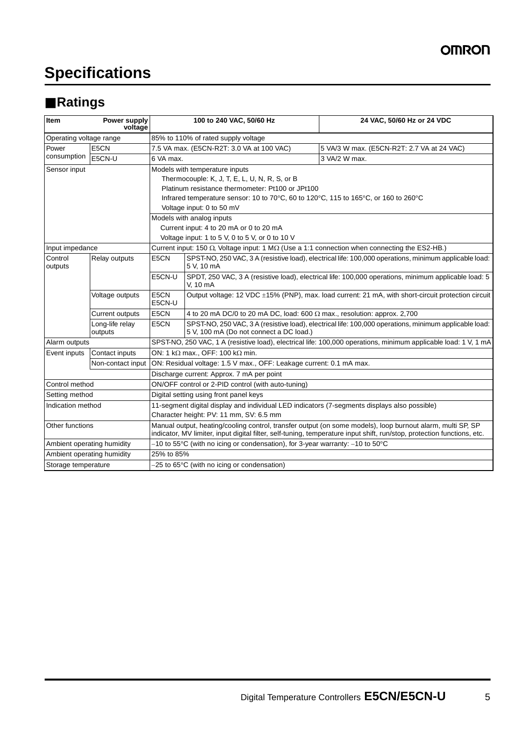# **Specifications**

# ■ **Ratings**

| Item                       | Power supply<br>voltage    |                                                                                                                                                                                                                                       | 100 to 240 VAC, 50/60 Hz                                                                                     | 24 VAC, 50/60 Hz or 24 VDC                                                                            |  |  |
|----------------------------|----------------------------|---------------------------------------------------------------------------------------------------------------------------------------------------------------------------------------------------------------------------------------|--------------------------------------------------------------------------------------------------------------|-------------------------------------------------------------------------------------------------------|--|--|
| Operating voltage range    |                            |                                                                                                                                                                                                                                       | 85% to 110% of rated supply voltage                                                                          |                                                                                                       |  |  |
| Power                      | E5CN                       |                                                                                                                                                                                                                                       | 7.5 VA max. (E5CN-R2T: 3.0 VA at 100 VAC)                                                                    | 5 VA/3 W max. (E5CN-R2T: 2.7 VA at 24 VAC)                                                            |  |  |
| consumption                | E5CN-U                     | 6 VA max.                                                                                                                                                                                                                             |                                                                                                              | 3 VA/2 W max.                                                                                         |  |  |
| Sensor input               |                            |                                                                                                                                                                                                                                       | Models with temperature inputs                                                                               |                                                                                                       |  |  |
|                            |                            |                                                                                                                                                                                                                                       | Thermocouple: K, J, T, E, L, U, N, R, S, or B                                                                |                                                                                                       |  |  |
|                            |                            |                                                                                                                                                                                                                                       | Platinum resistance thermometer: Pt100 or JPt100                                                             |                                                                                                       |  |  |
|                            |                            |                                                                                                                                                                                                                                       | Infrared temperature sensor: 10 to 70°C, 60 to 120°C, 115 to 165°C, or 160 to 260°C                          |                                                                                                       |  |  |
|                            |                            |                                                                                                                                                                                                                                       | Voltage input: 0 to 50 mV                                                                                    |                                                                                                       |  |  |
|                            |                            |                                                                                                                                                                                                                                       | Models with analog inputs                                                                                    |                                                                                                       |  |  |
|                            |                            |                                                                                                                                                                                                                                       | Current input: 4 to 20 mA or 0 to 20 mA                                                                      |                                                                                                       |  |  |
|                            |                            |                                                                                                                                                                                                                                       | Voltage input: 1 to 5 V, 0 to 5 V, or 0 to 10 V                                                              |                                                                                                       |  |  |
| Input impedance            |                            |                                                                                                                                                                                                                                       | Current input: 150 $\Omega$ , Voltage input: 1 M $\Omega$ (Use a 1:1 connection when connecting the ES2-HB.) |                                                                                                       |  |  |
| Control<br>outputs         | Relay outputs              | E5CN                                                                                                                                                                                                                                  | 5 V, 10 mA                                                                                                   | SPST-NO, 250 VAC, 3 A (resistive load), electrical life: 100,000 operations, minimum applicable load: |  |  |
|                            |                            | E5CN-U                                                                                                                                                                                                                                | V, 10 mA                                                                                                     | SPDT, 250 VAC, 3 A (resistive load), electrical life: 100,000 operations, minimum applicable load: 5  |  |  |
|                            | Voltage outputs            | E5CN<br>E5CN-U                                                                                                                                                                                                                        | Output voltage: 12 VDC ±15% (PNP), max. load current: 21 mA, with short-circuit protection circuit           |                                                                                                       |  |  |
|                            | <b>Current outputs</b>     | E5CN                                                                                                                                                                                                                                  | 4 to 20 mA DC/0 to 20 mA DC, load: 600 $\Omega$ max., resolution: approx. 2,700                              |                                                                                                       |  |  |
|                            | Long-life relay<br>outputs | E5CN                                                                                                                                                                                                                                  | 5 V, 100 mA (Do not connect a DC load.)                                                                      | SPST-NO, 250 VAC, 3 A (resistive load), electrical life: 100,000 operations, minimum applicable load: |  |  |
| Alarm outputs              |                            | SPST-NO, 250 VAC, 1 A (resistive load), electrical life: 100,000 operations, minimum applicable load: 1 V, 1 mA                                                                                                                       |                                                                                                              |                                                                                                       |  |  |
| Event inputs               | Contact inputs             |                                                                                                                                                                                                                                       | ON: 1 k $\Omega$ max., OFF: 100 k $\Omega$ min.                                                              |                                                                                                       |  |  |
|                            | Non-contact input          |                                                                                                                                                                                                                                       | ON: Residual voltage: 1.5 V max., OFF: Leakage current: 0.1 mA max.                                          |                                                                                                       |  |  |
|                            |                            |                                                                                                                                                                                                                                       | Discharge current: Approx. 7 mA per point                                                                    |                                                                                                       |  |  |
| Control method             |                            | ON/OFF control or 2-PID control (with auto-tuning)                                                                                                                                                                                    |                                                                                                              |                                                                                                       |  |  |
| Setting method             |                            | Digital setting using front panel keys                                                                                                                                                                                                |                                                                                                              |                                                                                                       |  |  |
| Indication method          |                            | 11-segment digital display and individual LED indicators (7-segments displays also possible)                                                                                                                                          |                                                                                                              |                                                                                                       |  |  |
|                            |                            | Character height: PV: 11 mm, SV: 6.5 mm                                                                                                                                                                                               |                                                                                                              |                                                                                                       |  |  |
| Other functions            |                            | Manual output, heating/cooling control, transfer output (on some models), loop burnout alarm, multi SP, SP<br>indicator, MV limiter, input digital filter, self-tuning, temperature input shift, run/stop, protection functions, etc. |                                                                                                              |                                                                                                       |  |  |
| Ambient operating humidity |                            | $-10$ to 55°C (with no icing or condensation), for 3-year warranty: $-10$ to 50°C                                                                                                                                                     |                                                                                                              |                                                                                                       |  |  |
| Ambient operating humidity |                            | 25% to 85%                                                                                                                                                                                                                            |                                                                                                              |                                                                                                       |  |  |
| Storage temperature        |                            | $-25$ to 65 $\degree$ C (with no icing or condensation)                                                                                                                                                                               |                                                                                                              |                                                                                                       |  |  |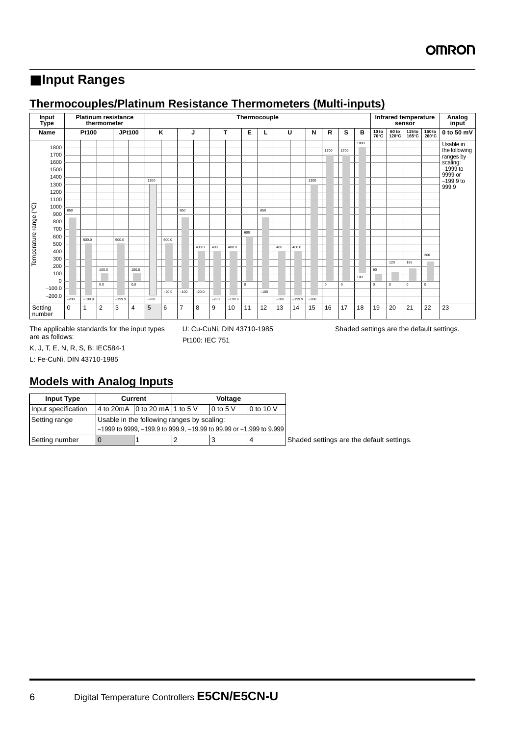# ■ **Input Ranges**

## **Thermocouples/Platinum Resistance Thermometers (Multi-inputs)**



K, J, T, E, N, R, S, B: IEC584-1 L: Fe-CuNi, DIN 43710-1985

**Models with Analog Inputs**

| <b>Input Type</b>   | Current                                    |                                                                            | Voltage |             |                                           |
|---------------------|--------------------------------------------|----------------------------------------------------------------------------|---------|-------------|-------------------------------------------|
| Input specification |                                            | 4 to 20 mA 0 to 20 mA 1 to 5 V                                             |         | $10$ to 5 V | 0 to 10 V                                 |
| Setting range       | Usable in the following ranges by scaling: |                                                                            |         |             |                                           |
|                     |                                            | $-1999$ to 9999, $-199.9$ to 999.9, $-19.99$ to 99.99 or $-1.999$ to 9.999 |         |             |                                           |
| Setting number      |                                            |                                                                            |         |             | Shaded settings are the default settings. |

Pt100: IEC 751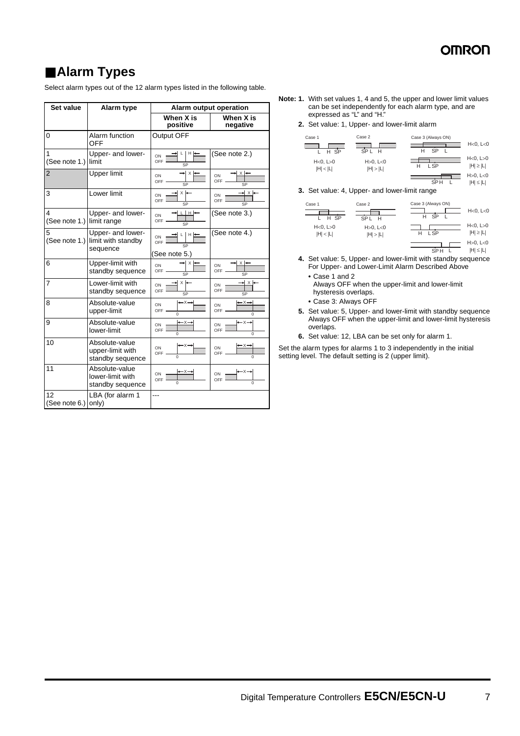SPH L |H|≤|L|

SPH L H≤|L

# ■ Alarm Types

Select alarm types out of the 12 alarm types listed in the following table.

| Set value                     | Alarm type                                             |                                                             | <b>Alarm output operation</b>                             |
|-------------------------------|--------------------------------------------------------|-------------------------------------------------------------|-----------------------------------------------------------|
|                               |                                                        | When X is<br>positive                                       | When X is<br>negative                                     |
| 0                             | Alarm function<br>OFF                                  | Output OFF                                                  |                                                           |
| $\mathbf{1}$<br>(See note 1.) | Upper- and lower-<br>limit                             | H  <br>Г<br>ON<br>OFF<br>SP                                 | (See note 2.)                                             |
| $\overline{2}$                | <b>Upper limit</b>                                     | * X *<br>ON<br>OFF<br>SP                                    | $x \rightarrow$<br>ON<br><b>OFF</b><br>SP                 |
| 3                             | Lower limit                                            | $x \rightarrow$<br>ON<br>OFF<br>SP                          | → x ←<br>ON<br>OFF<br>SP                                  |
| 4<br>(See note 1.)            | Upper- and lower-<br>limit range                       | $L$ $H$ $\leftarrow$<br>ON<br>OFF<br>$\overline{\text{SP}}$ | (See note 3.)                                             |
| 5<br>(See note 1.)            | Upper- and lower-<br>limit with standby<br>sequence    | LIHH<br>ON<br>OFF<br>SP<br>(See note 5.)                    | (See note 4.)                                             |
| 6                             | Upper-limit with<br>standby sequence                   | → x l←<br>ON<br>OFF<br>$\overline{\text{SP}}$               | $x \rightarrow$<br>ON<br>OFF<br>SP                        |
| 7                             | Lower-limit with<br>standby sequence                   | $x \mid \bullet$<br>ON<br>OFF<br>SP                         | ► X<br>ON<br><b>OFF</b><br>SP                             |
| 8                             | Absolute-value<br>upper-limit                          | $\rightarrow x \rightarrow$<br>ON<br>OFF-<br>Ō              | $\rightarrow \times \rightarrow$<br>ON<br>OFF<br>$\Omega$ |
| 9                             | Absolute-value<br>lower-limit                          | $-x-$<br>ON<br>OFF<br>$\mathbf 0$                           | $-x$<br>ON<br><b>OFF</b><br>$\Omega$                      |
| 10                            | Absolute-value<br>upper-limit with<br>standby sequence | — x –<br>ON<br>OFF<br>$\mathbf 0$                           | — x-<br>ON<br>OFF<br>$\Omega$                             |
| 11                            | Absolute-value<br>lower-limit with<br>standby sequence | -x-<br>ON<br>OFF<br>$\mathbf 0$                             | -x-<br>ON<br>OFF<br>$\Omega$                              |
| 12<br>(See note 6.)           | LBA (for alarm 1<br>only)                              | ---                                                         |                                                           |

- **Note: 1.** With set values 1, 4 and 5, the upper and lower limit values can be set independently for each alarm type, and are expressed as "L" and "H."
	- **2.** Set value: 1, Upper- and lower-limit alarm

| Case 1               | Case 2                   | Case 3 (Always ON) | $H < 0$ , $L < 0$          |
|----------------------|--------------------------|--------------------|----------------------------|
| $H$ SP               | SPL H                    | <b>SP</b>          |                            |
| H<0, L>0<br> H  <  L | H > 0, L < 0<br> H  >  L | L SP               | H<0, L>0<br>$ H  \geq  L $ |
|                      |                          |                    | $H > 0$ , $L < 0$          |

**3.** Set value: 4, Upper- and lower-limit range

| Case 1               | Case 2                        | Case 3 (Always ON) |                            |
|----------------------|-------------------------------|--------------------|----------------------------|
| H SP                 | SP <sub>L</sub><br>н          | <b>SP</b><br>н     | $H < 0$ , $L < 0$          |
| H<0, L>0<br> H  <  L | $H > 0$ , $L < 0$<br> H  >  L | L SP<br>н          | H<0, L>0<br>$ H  \geq  L $ |
|                      |                               |                    | H > 0, L < 0               |

- **4.** Set value: 5, Upper- and lower-limit with standby sequence For Upper- and Lower-Limit Alarm Described Above
	- **•** Case 1 and 2 Always OFF when the upper-limit and lower-limit hysteresis overlaps.
	- **•** Case 3: Always OFF
- **5.** Set value: 5, Upper- and lower-limit with standby sequence Always OFF when the upper-limit and lower-limit hysteresis overlaps.
- **6.** Set value: 12, LBA can be set only for alarm 1.

Set the alarm types for alarms 1 to 3 independently in the initial setting level. The default setting is 2 (upper limit).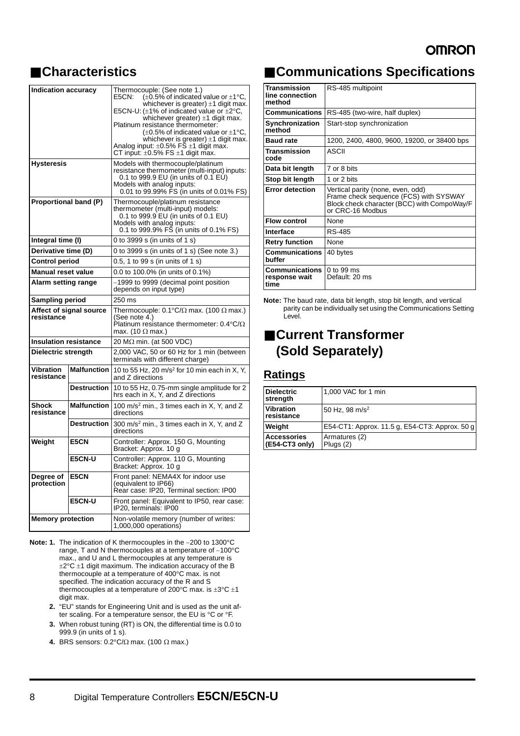# ■ **Characteristics**

| <b>Indication accuracy</b>            |                    | Thermocouple: (See note 1.)<br>E5CN:<br>$(\pm 0.5\%$ of indicated value or $\pm 1^{\circ}$ C,<br>whichever is greater) $\pm$ 1 digit max.<br>E5CN-U: $(\pm 1\%$ of indicated value or $\pm 2^{\circ}$ C,<br>whichever greater) $\pm$ 1 digit max.<br>Platinum resistance thermometer:<br>$(\pm 0.5\%$ of indicated value or $\pm 1^{\circ}$ C,<br>whichever is greater) $\pm$ 1 digit max.<br>Analog input: $\pm 0.5\%$ FS $\pm 1$ digit max.<br>CT input: $\pm 0.5\%$ FS $\pm 1$ digit max. |  |
|---------------------------------------|--------------------|----------------------------------------------------------------------------------------------------------------------------------------------------------------------------------------------------------------------------------------------------------------------------------------------------------------------------------------------------------------------------------------------------------------------------------------------------------------------------------------------|--|
| <b>Hysteresis</b>                     |                    | Models with thermocouple/platinum<br>resistance thermometer (multi-input) inputs:<br>0.1 to 999.9 EU (in units of 0.1 EU)<br>Models with analog inputs:<br>0.01 to 99.99% FS (in units of 0.01% FS)                                                                                                                                                                                                                                                                                          |  |
| Proportional band (P)                 |                    | Thermocouple/platinum resistance<br>thermometer (multi-input) models:<br>0.1 to 999.9 EU (in units of 0.1 EU)<br>Models with analog inputs:<br>0.1 to 999.9% FS (in units of 0.1% FS)                                                                                                                                                                                                                                                                                                        |  |
| Integral time (I)                     |                    | 0 to 3999 s (in units of 1 s)                                                                                                                                                                                                                                                                                                                                                                                                                                                                |  |
| Derivative time (D)                   |                    | 0 to 3999 s (in units of 1 s) (See note 3.)                                                                                                                                                                                                                                                                                                                                                                                                                                                  |  |
| Control period                        |                    | 0.5, 1 to 99 s (in units of 1 s)                                                                                                                                                                                                                                                                                                                                                                                                                                                             |  |
| <b>Manual reset value</b>             |                    | 0.0 to 100.0% (in units of 0.1%)                                                                                                                                                                                                                                                                                                                                                                                                                                                             |  |
| Alarm setting range                   |                    | -1999 to 9999 (decimal point position<br>depends on input type)                                                                                                                                                                                                                                                                                                                                                                                                                              |  |
| Sampling period                       |                    | 250 ms                                                                                                                                                                                                                                                                                                                                                                                                                                                                                       |  |
| Affect of signal source<br>resistance |                    | Thermocouple: $0.1^{\circ}$ C/ $\Omega$ max. (100 $\Omega$ max.)<br>(See note 4.)<br>Platinum resistance thermometer: $0.4^{\circ}C/\Omega$<br>max. (10 $\Omega$ max.)                                                                                                                                                                                                                                                                                                                       |  |
| <b>Insulation resistance</b>          |                    | 20 M $\Omega$ min. (at 500 VDC)                                                                                                                                                                                                                                                                                                                                                                                                                                                              |  |
| Dielectric strength                   |                    | 2,000 VAC, 50 or 60 Hz for 1 min (between<br>terminals with different charge)                                                                                                                                                                                                                                                                                                                                                                                                                |  |
| <b>Vibration</b><br>resistance        | <b>Malfunction</b> | 10 to 55 Hz, 20 m/s <sup>2</sup> for 10 min each in X, Y,<br>and Z directions                                                                                                                                                                                                                                                                                                                                                                                                                |  |
|                                       | <b>Destruction</b> | 10 to 55 Hz, 0.75-mm single amplitude for 2<br>hrs each in X, Y, and Z directions                                                                                                                                                                                                                                                                                                                                                                                                            |  |
| Shock<br>resistance                   | <b>Malfunction</b> | 100 m/s <sup>2</sup> min., 3 times each in X, Y, and Z<br>directions                                                                                                                                                                                                                                                                                                                                                                                                                         |  |
| <b>Destruction</b>                    |                    | 300 m/s <sup>2</sup> min., 3 times each in X, Y, and Z<br>directions                                                                                                                                                                                                                                                                                                                                                                                                                         |  |
| Weight<br>E5CN<br>E5CN-U              |                    | Controller: Approx. 150 G, Mounting<br>Bracket: Approx. 10 g                                                                                                                                                                                                                                                                                                                                                                                                                                 |  |
|                                       |                    | Controller: Approx. 110 G, Mounting<br>Bracket: Approx. 10 g                                                                                                                                                                                                                                                                                                                                                                                                                                 |  |
| E5CN<br>Degree of<br>protection       |                    | Front panel: NEMA4X for indoor use<br>(equivalent to IP66)<br>Rear case: IP20, Terminal section: IP00                                                                                                                                                                                                                                                                                                                                                                                        |  |
| <b>E5CN-U</b>                         |                    | Front panel: Equivalent to IP50, rear case:<br>IP20, terminals: IP00                                                                                                                                                                                                                                                                                                                                                                                                                         |  |
| <b>Memory protection</b>              |                    | Non-volatile memory (number of writes:<br>1,000,000 operations)                                                                                                                                                                                                                                                                                                                                                                                                                              |  |

**Note: 1.** The indication of K thermocouples in the -200 to 1300°C range,  $T$  and N thermocouples at a temperature of  $-100^{\circ}$ C max., and U and L thermocouples at any temperature is  $\pm 2^{\circ}$ C  $\pm$ 1 digit maximum. The indication accuracy of the B thermocouple at a temperature of 400°C max. is not specified. The indication accuracy of the R and S thermocouples at a temperature of 200 $^{\circ}$ C max. is  $\pm 3^{\circ}$ C  $\pm 1$ digit max.

- **2.** "EU" stands for Engineering Unit and is used as the unit after scaling. For a temperature sensor, the EU is °C or °F.
- **3.** When robust tuning (RT) is ON, the differential time is 0.0 to 999.9 (in units of 1 s).
- **4.** BRS sensors:  $0.2^{\circ}C/\Omega$  max. (100  $\Omega$  max.)

# ■ **Communications Specifications**

| <b>Transmission</b><br>line connection<br>method | RS-485 multipoint                                                                                                                              |
|--------------------------------------------------|------------------------------------------------------------------------------------------------------------------------------------------------|
| <b>Communications</b>                            | RS-485 (two-wire, half duplex)                                                                                                                 |
| <b>Synchronization</b><br>method                 | Start-stop synchronization                                                                                                                     |
| <b>Baud rate</b>                                 | 1200, 2400, 4800, 9600, 19200, or 38400 bps                                                                                                    |
| Transmission<br>code                             | ASCII                                                                                                                                          |
| Data bit length                                  | 7 or 8 bits                                                                                                                                    |
| Stop bit length                                  | 1 or 2 bits                                                                                                                                    |
| <b>Error detection</b>                           | Vertical parity (none, even, odd)<br>Frame check sequence (FCS) with SYSWAY<br>Block check character (BCC) with CompoWay/F<br>or CRC-16 Modbus |
| <b>Flow control</b>                              | None                                                                                                                                           |
| Interface                                        | RS-485                                                                                                                                         |
| <b>Retry function</b>                            | None                                                                                                                                           |
| <b>Communications</b><br>buffer                  | 40 bytes                                                                                                                                       |
| <b>Communications</b><br>response wait<br>time   | $0$ to 99 ms<br>Default: 20 ms                                                                                                                 |

**Note:** The baud rate, data bit length, stop bit length, and vertical parity can be individually set using the Communications Setting Level.

## ■ Current Transformer **(Sold Separately)**

## **Ratings**

| <b>Dielectric</b><br>strength                  | 1,000 VAC for 1 min                            |
|------------------------------------------------|------------------------------------------------|
| <b>Vibration</b><br>resistance                 | 50 Hz, 98 $m/s^2$                              |
| Weight                                         | E54-CT1: Approx. 11.5 g, E54-CT3: Approx. 50 g |
| <b>Accessories</b><br>$(E54-CT3 \text{ only})$ | Armatures (2)<br>Plugs (2)                     |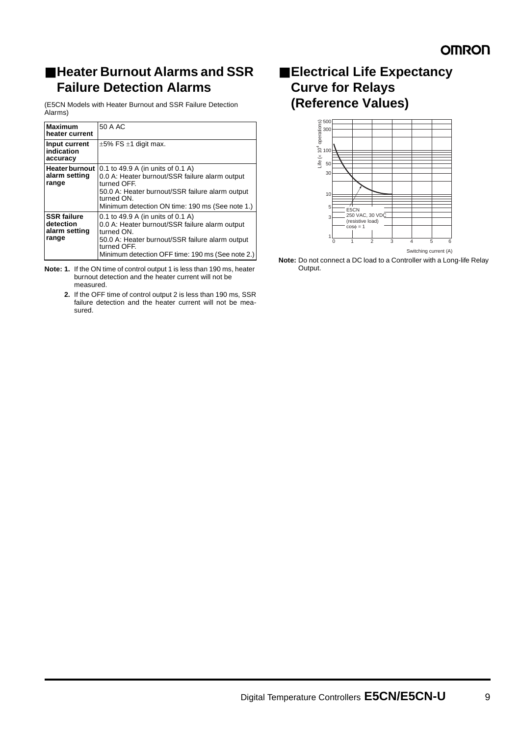## ■ **Heater Burnout Alarms and SSR Failure Detection Alarms**

(E5CN Models with Heater Burnout and SSR Failure Detection Alarms)

| <b>Maximum</b><br>heater current                          | 50 A AC                                                                                                                                                                                                                 |
|-----------------------------------------------------------|-------------------------------------------------------------------------------------------------------------------------------------------------------------------------------------------------------------------------|
| Input current<br>indication<br>accuracy                   | $\pm 5\%$ FS $\pm 1$ digit max.                                                                                                                                                                                         |
| <b>Heater burnout I</b><br>alarm setting<br>range         | 0.1 to 49.9 A (in units of 0.1 A)<br>0.0 A: Heater burnout/SSR failure alarm output<br>turned OFF.<br>50.0 A: Heater burnout/SSR failure alarm output<br>turned ON.<br>Minimum detection ON time: 190 ms (See note 1.)  |
| <b>SSR failure</b><br>detection<br>alarm setting<br>range | 0.1 to 49.9 A (in units of 0.1 A)<br>0.0 A: Heater burnout/SSR failure alarm output<br>turned ON.<br>50.0 A: Heater burnout/SSR failure alarm output<br>turned OFF.<br>Minimum detection OFF time: 190 ms (See note 2.) |

**Note: 1.** If the ON time of control output 1 is less than 190 ms, heater burnout detection and the heater current will not be measured.

**2.** If the OFF time of control output 2 is less than 190 ms, SSR failure detection and the heater current will not be measured.

## ■ **Electrical Life Expectancy Curve for Relays (Reference Values)**



**Note:** Do not connect a DC load to a Controller with a Long-life Relay Output.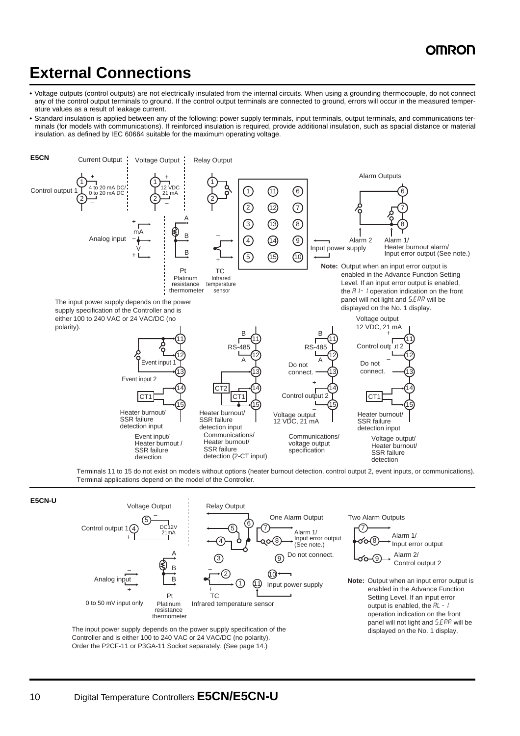# **External Connections**

- **•** Voltage outputs (control outputs) are not electrically insulated from the internal circuits. When using a grounding thermocouple, do not connect any of the control output terminals to ground. If the control output terminals are connected to ground, errors will occur in the measured temperature values as a result of leakage current.
- **•** Standard insulation is applied between any of the following: power supply terminals, input terminals, output terminals, and communications terminals (for models with communications). If reinforced insulation is required, provide additional insulation, such as spacial distance or material insulation, as defined by IEC 60664 suitable for the maximum operating voltage.



Terminals 11 to 15 do not exist on models without options (heater burnout detection, control output 2, event inputs, or communications). Terminal applications depend on the model of the Controller.





The input power supply depends on the power supply specification of the Controller and is either 100 to 240 VAC or 24 VAC/DC (no polarity). Order the P2CF-11 or P3GA-11 Socket separately. (See page 14.)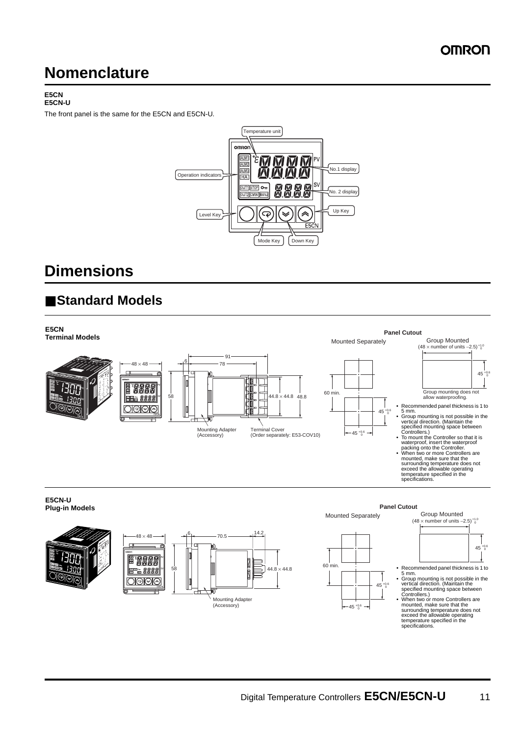# **Nomenclature**

#### **E5CN E5CN-U**

The front panel is the same for the E5CN and E5CN-U.



# **Dimensions**

# ■ **Standard Models**

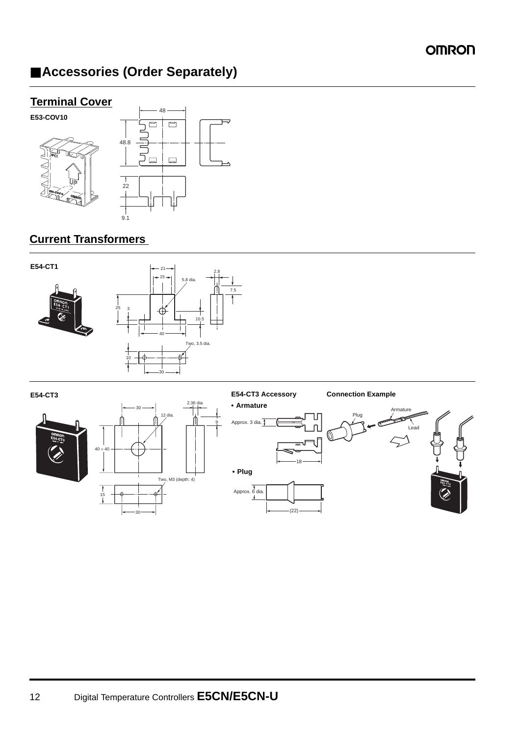# ■ **Accessories (Order Separately)**

## **Terminal Cover**



## **Current Transformers**



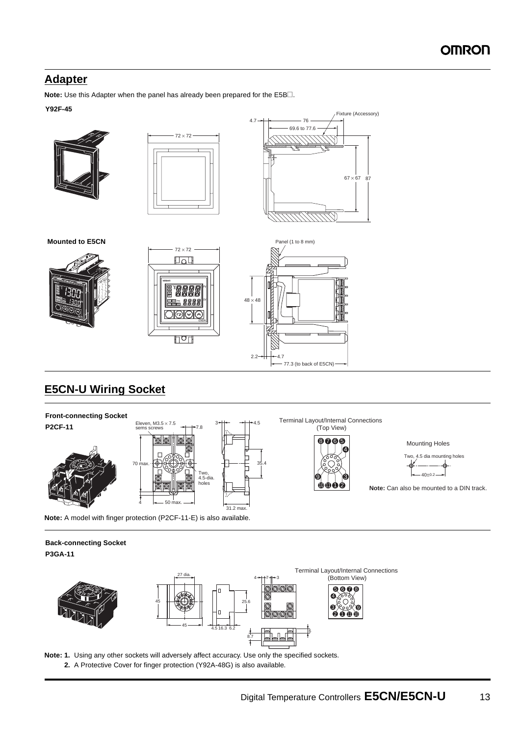## **Adapter**

**Note:** Use this Adapter when the panel has already been prepared for the E5B@.

### **Y92F-45**



## **E5CN-U Wiring Socket**



 $2.2 \rightarrow 4.7$ 

- 77.3 (to back of E5CN)

**Note:** A model with finger protection (P2CF-11-E) is also available.

# **Back-connecting Socket**

**P3GA-11**



**Note: 1.** Using any other sockets will adversely affect accuracy. Use only the specified sockets. **2.** A Protective Cover for finger protection (Y92A-48G) is also available.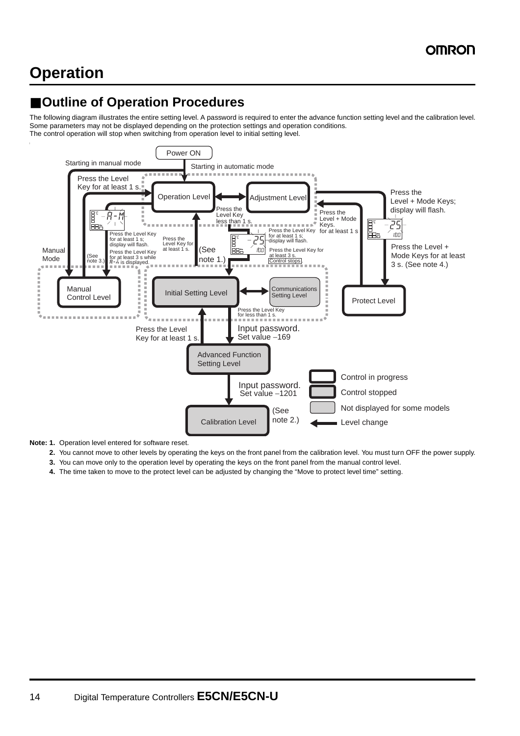# **Operation**

# ■ Outline of Operation Procedures

The following diagram illustrates the entire setting level. A password is required to enter the advance function setting level and the calibration level. Some parameters may not be displayed depending on the protection settings and operation conditions. The control operation will stop when switching from operation level to initial setting level.



**Note: 1.** Operation level entered for software reset.

- **2.** You cannot move to other levels by operating the keys on the front panel from the calibration level. You must turn OFF the power supply.
- **3.** You can move only to the operation level by operating the keys on the front panel from the manual control level.
- **4.** The time taken to move to the protect level can be adjusted by changing the "Move to protect level time" setting.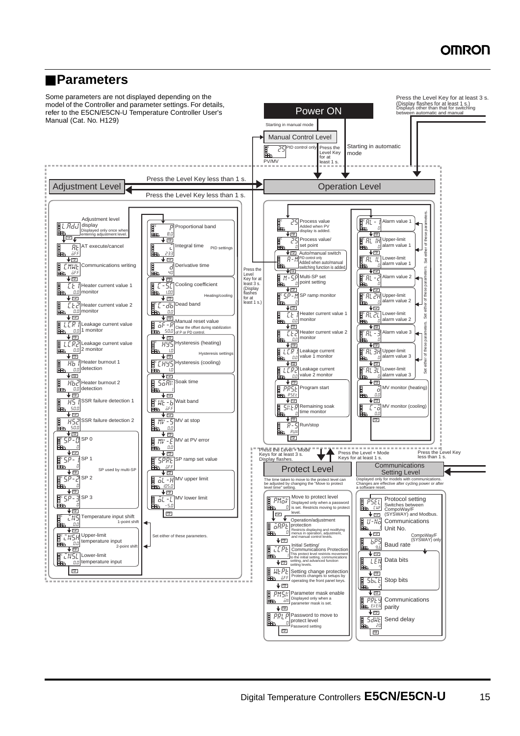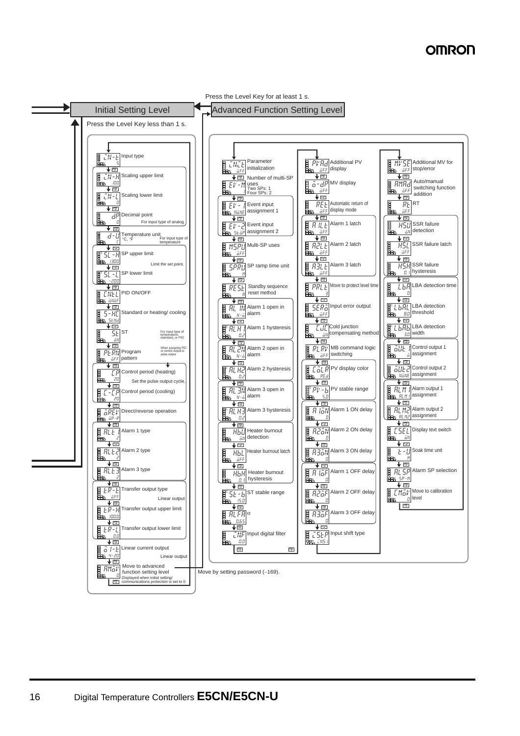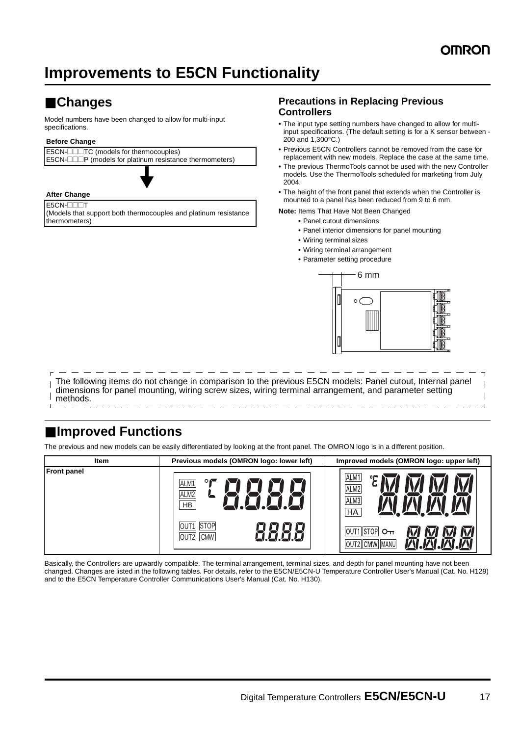# **Improvements to E5CN Functionality**

# ■ **Changes**

Model numbers have been changed to allow for multi-input specifications.

### **Before Change**

E5CN- $\Box$ TC (models for thermocouples)  $E5CN$ - $\square\square P$  (models for platinum resistance thermometers)

#### **After Change**

E5CN-**DOOT** (Models that support both thermocouples and platinum resistance thermometers)

### **Precautions in Replacing Previous Controllers**

- **•** The input type setting numbers have changed to allow for multiinput specifications. (The default setting is for a K sensor between - 200 and 1,300°C.)
- **•** Previous E5CN Controllers cannot be removed from the case for replacement with new models. Replace the case at the same time.
- **•** The previous ThermoTools cannot be used with the new Controller models. Use the ThermoTools scheduled for marketing from July 2004.
- **•** The height of the front panel that extends when the Controller is mounted to a panel has been reduced from 9 to 6 mm.

**Note:** Items That Have Not Been Changed

- **•** Panel cutout dimensions
	- **•** Panel interior dimensions for panel mounting
	- **•** Wiring terminal sizes
	- **•** Wiring terminal arrangement
	- **•** Parameter setting procedure



The following items do not change in comparison to the previous E5CN models: Panel cutout, Internal panel dimensions for panel mounting, wiring screw sizes, wiring terminal arrangement, and parameter setting methods.

## ■ **Improved Functions**

The previous and new models can be easily differentiated by looking at the front panel. The OMRON logo is in a different position.

| Item               | Previous models (OMRON logo: lower left)         | Improved models (OMRON logo: upper left)      |
|--------------------|--------------------------------------------------|-----------------------------------------------|
| <b>Front panel</b> | $\circ$<br>ALM1<br>ALM <sub>2</sub><br><b>HB</b> | ALM <sub>1</sub><br>ALM2<br>ALM3<br><b>HA</b> |
|                    | <b>STOP</b><br>OUT2 CMW                          | OUT1 STOP<br>OUT2 CMW MANU                    |

Basically, the Controllers are upwardly compatible. The terminal arrangement, terminal sizes, and depth for panel mounting have not been changed. Changes are listed in the following tables. For details, refer to the E5CN/E5CN-U Temperature Controller User's Manual (Cat. No. H129) and to the E5CN Temperature Controller Communications User's Manual (Cat. No. H130).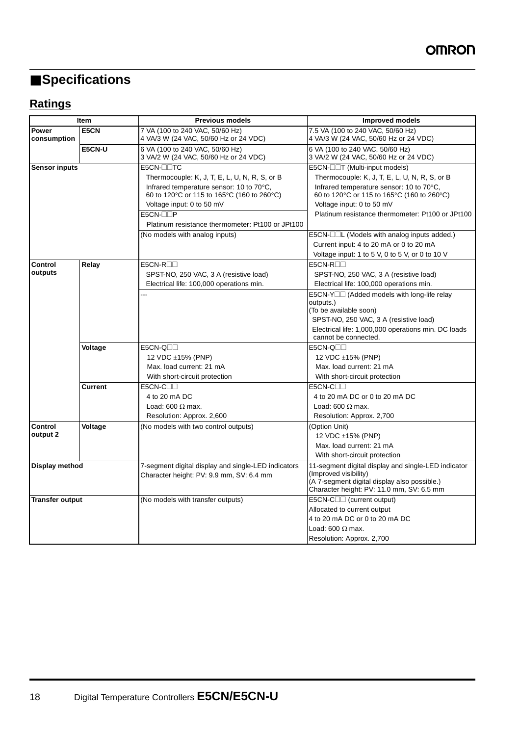# ■ **Specifications**

# **Ratings**

|                             | Item           | <b>Previous models</b>                                                                          | <b>Improved models</b>                                                                                                                                                    |
|-----------------------------|----------------|-------------------------------------------------------------------------------------------------|---------------------------------------------------------------------------------------------------------------------------------------------------------------------------|
| <b>Power</b><br>consumption | E5CN           | 7 VA (100 to 240 VAC, 50/60 Hz)<br>4 VA/3 W (24 VAC, 50/60 Hz or 24 VDC)                        | 7.5 VA (100 to 240 VAC, 50/60 Hz)<br>4 VA/3 W (24 VAC, 50/60 Hz or 24 VDC)                                                                                                |
|                             | E5CN-U         | 6 VA (100 to 240 VAC, 50/60 Hz)<br>3 VA/2 W (24 VAC, 50/60 Hz or 24 VDC)                        | 6 VA (100 to 240 VAC, 50/60 Hz)<br>3 VA/2 W (24 VAC, 50/60 Hz or 24 VDC)                                                                                                  |
| <b>Sensor inputs</b>        |                | E5CN-OOTC                                                                                       | E5CN-□□T (Multi-input models)                                                                                                                                             |
|                             |                | Thermocouple: K, J, T, E, L, U, N, R, S, or B                                                   | Thermocouple: K, J, T, E, L, U, N, R, S, or B                                                                                                                             |
|                             |                | Infrared temperature sensor: 10 to 70°C,<br>60 to 120 °C or 115 to 165 °C (160 to 260 °C)       | Infrared temperature sensor: 10 to 70°C,<br>60 to 120 °C or 115 to 165 °C (160 to 260 °C)                                                                                 |
|                             |                | Voltage input: 0 to 50 mV                                                                       | Voltage input: 0 to 50 mV                                                                                                                                                 |
|                             |                | E5CN-⊟⊟P                                                                                        | Platinum resistance thermometer: Pt100 or JPt100                                                                                                                          |
|                             |                | Platinum resistance thermometer: Pt100 or JPt100                                                |                                                                                                                                                                           |
|                             |                | (No models with analog inputs)                                                                  | E5CN-□□L (Models with analog inputs added.)                                                                                                                               |
|                             |                |                                                                                                 | Current input: 4 to 20 mA or 0 to 20 mA                                                                                                                                   |
|                             |                |                                                                                                 | Voltage input: 1 to 5 V, 0 to 5 V, or 0 to 10 V                                                                                                                           |
| Control                     | Relay          | $E5CN-R$                                                                                        | $E5CN-R$                                                                                                                                                                  |
| outputs                     |                | SPST-NO, 250 VAC, 3 A (resistive load)                                                          | SPST-NO, 250 VAC, 3 A (resistive load)                                                                                                                                    |
|                             |                | Electrical life: 100,000 operations min.                                                        | Electrical life: 100,000 operations min.                                                                                                                                  |
|                             |                | u.                                                                                              | E5CN-Y□□ (Added models with long-life relay                                                                                                                               |
|                             |                |                                                                                                 | outputs.)                                                                                                                                                                 |
|                             |                |                                                                                                 | (To be available soon)                                                                                                                                                    |
|                             |                |                                                                                                 | SPST-NO, 250 VAC, 3 A (resistive load)                                                                                                                                    |
|                             |                |                                                                                                 | Electrical life: 1,000,000 operations min. DC loads<br>cannot be connected.                                                                                               |
|                             | Voltage        | E5CN-Q <sub>III</sub>                                                                           | E5CN-Q <sub>III</sub>                                                                                                                                                     |
|                             |                | 12 VDC ±15% (PNP)                                                                               | 12 VDC ±15% (PNP)                                                                                                                                                         |
|                             |                | Max. load current: 21 mA                                                                        | Max. load current: 21 mA                                                                                                                                                  |
|                             |                | With short-circuit protection                                                                   | With short-circuit protection                                                                                                                                             |
|                             | <b>Current</b> | $E5CN-C$                                                                                        | $E5CN-C$                                                                                                                                                                  |
|                             |                | 4 to 20 mA DC                                                                                   | 4 to 20 mA DC or 0 to 20 mA DC                                                                                                                                            |
|                             |                | Load: 600 $\Omega$ max.                                                                         | Load: 600 $\Omega$ max.                                                                                                                                                   |
|                             |                | Resolution: Approx. 2,600                                                                       | Resolution: Approx. 2,700                                                                                                                                                 |
| Control                     | Voltage        | (No models with two control outputs)                                                            | (Option Unit)                                                                                                                                                             |
| output 2                    |                |                                                                                                 | 12 VDC ±15% (PNP)                                                                                                                                                         |
|                             |                |                                                                                                 | Max. load current: 21 mA                                                                                                                                                  |
|                             |                |                                                                                                 | With short-circuit protection                                                                                                                                             |
| Display method              |                | 7-segment digital display and single-LED indicators<br>Character height: PV: 9.9 mm, SV: 6.4 mm | 11-segment digital display and single-LED indicator<br>(Improved visibility)<br>(A 7-segment digital display also possible.)<br>Character height: PV: 11.0 mm, SV: 6.5 mm |
| <b>Transfer output</b>      |                | (No models with transfer outputs)                                                               | E5CN-C <sub>□</sub> (current output)                                                                                                                                      |
|                             |                |                                                                                                 | Allocated to current output                                                                                                                                               |
|                             |                |                                                                                                 | 4 to 20 mA DC or 0 to 20 mA DC                                                                                                                                            |
|                             |                |                                                                                                 | Load: 600 $\Omega$ max.                                                                                                                                                   |
|                             |                |                                                                                                 | Resolution: Approx. 2,700                                                                                                                                                 |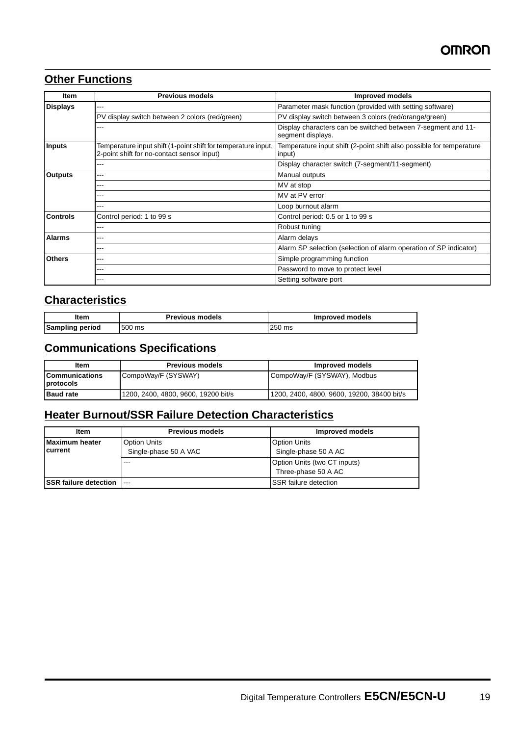## **Other Functions**

| Item            | <b>Previous models</b>                                                                                      | <b>Improved models</b>                                                            |
|-----------------|-------------------------------------------------------------------------------------------------------------|-----------------------------------------------------------------------------------|
| <b>Displays</b> | ---                                                                                                         | Parameter mask function (provided with setting software)                          |
|                 | PV display switch between 2 colors (red/green)                                                              | PV display switch between 3 colors (red/orange/green)                             |
|                 | ---                                                                                                         | Display characters can be switched between 7-segment and 11-<br>segment displays. |
| <b>Inputs</b>   | Temperature input shift (1-point shift for temperature input,<br>2-point shift for no-contact sensor input) | Temperature input shift (2-point shift also possible for temperature<br>input)    |
|                 | ---                                                                                                         | Display character switch (7-segment/11-segment)                                   |
| <b>Outputs</b>  | ---                                                                                                         | Manual outputs                                                                    |
|                 | ---                                                                                                         | MV at stop                                                                        |
|                 |                                                                                                             | MV at PV error                                                                    |
|                 | ---                                                                                                         | Loop burnout alarm                                                                |
| <b>Controls</b> | Control period: 1 to 99 s                                                                                   | Control period: 0.5 or 1 to 99 s                                                  |
|                 | ---                                                                                                         | Robust tuning                                                                     |
| <b>Alarms</b>   | ---                                                                                                         | Alarm delays                                                                      |
|                 | ---                                                                                                         | Alarm SP selection (selection of alarm operation of SP indicator)                 |
| <b>Others</b>   | ---                                                                                                         | Simple programming function                                                       |
|                 | ---                                                                                                         | Password to move to protect level                                                 |
|                 |                                                                                                             | Setting software port                                                             |

## **Characteristics**

| ltem            | <b>Previous models</b> | Improved models |
|-----------------|------------------------|-----------------|
| Sampling period | 500 ms                 | 250 ms          |

## **Communications Specifications**

| ltem                                | <b>Previous models</b>              | Improved models                            |
|-------------------------------------|-------------------------------------|--------------------------------------------|
| <b>ICommunications</b><br>protocols | CompoWay/F (SYSWAY)                 | CompoWay/F (SYSWAY), Modbus                |
| <b>Baud rate</b>                    | 1200, 2400, 4800, 9600, 19200 bit/s | 1200, 2400, 4800, 9600, 19200, 38400 bit/s |

## **Heater Burnout/SSR Failure Detection Characteristics**

| <b>Item</b>                              | <b>Previous models</b>                       | Improved models                                     |
|------------------------------------------|----------------------------------------------|-----------------------------------------------------|
| <b>Maximum heater</b><br><b>Icurrent</b> | <b>Option Units</b><br>Single-phase 50 A VAC | <b>Option Units</b><br>Single-phase 50 A AC         |
|                                          | $- - -$                                      | Option Units (two CT inputs)<br>Three-phase 50 A AC |
| <b>ISSR failure detection</b>            | $---$                                        | SSR failure detection                               |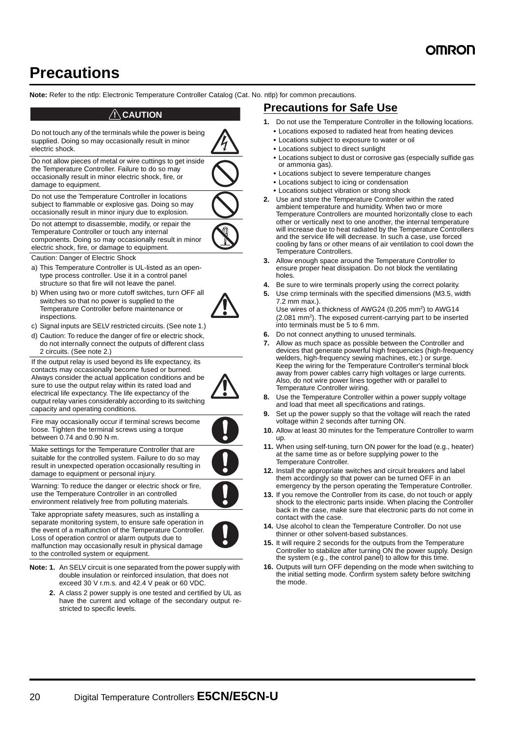# **Precautions**

**Note:** Refer to the ntlp: Electronic Temperature Controller Catalog (Cat. No. ntlp) for common precautions.

### !**CAUTION**

Do not touch any of the terminals while the power is being supplied. Doing so may occasionally result in minor electric shock. Do not allow pieces of metal or wire cuttings to get inside the Temperature Controller. Failure to do so may occasionally result in minor electric shock, fire, or damage to equipment.

Do not use the Temperature Controller in locations subject to flammable or explosive gas. Doing so may occasionally result in minor injury due to explosion.

Do not attempt to disassemble, modify, or repair the Temperature Controller or touch any internal components. Doing so may occasionally result in minor electric shock, fire, or damage to equipment.

Caution: Danger of Electric Shock

- a) This Temperature Controller is UL-listed as an opentype process controller. Use it in a control panel structure so that fire will not leave the panel.
- b) When using two or more cutoff switches, turn OFF all switches so that no power is supplied to the Temperature Controller before maintenance or inspections.
- c) Signal inputs are SELV restricted circuits. (See note 1.)
- d) Caution: To reduce the danger of fire or electric shock, do not internally connect the outputs of different class 2 circuits. (See note 2.)

If the output relay is used beyond its life expectancy, its contacts may occasionally become fused or burned. Always consider the actual application conditions and be sure to use the output relay within its rated load and electrical life expectancy. The life expectancy of the output relay varies considerably according to its switching capacity and operating conditions.



Fire may occasionally occur if terminal screws become loose. Tighten the terminal screws using a torque between 0.74 and 0.90 N·m.

Make settings for the Temperature Controller that are suitable for the controlled system. Failure to do so may result in unexpected operation occasionally resulting in damage to equipment or personal injury.



Warning: To reduce the danger or electric shock or fire, use the Temperature Controller in an controlled environment relatively free from polluting materials.

Take appropriate safety measures, such as installing a separate monitoring system, to ensure safe operation in the event of a malfunction of the Temperature Controller. Loss of operation control or alarm outputs due to malfunction may occasionally result in physical damage to the controlled system or equipment.

- **Note: 1.** An SELV circuit is one separated from the power supply with double insulation or reinforced insulation, that does not exceed 30 V r.m.s. and 42.4 V peak or 60 VDC.
	- **2.** A class 2 power supply is one tested and certified by UL as have the current and voltage of the secondary output restricted to specific levels.

## **Precautions for Safe Use**

- **1.** Do not use the Temperature Controller in the following locations.
	- **•** Locations exposed to radiated heat from heating devices
	- **•** Locations subject to exposure to water or oil
	- **•** Locations subject to direct sunlight
	- **•** Locations subject to dust or corrosive gas (especially sulfide gas or ammonia gas).
	- **•** Locations subject to severe temperature changes
	- **•** Locations subject to icing or condensation
	- **•** Locations subject vibration or strong shock
- **2.** Use and store the Temperature Controller within the rated ambient temperature and humidity. When two or more Temperature Controllers are mounted horizontally close to each other or vertically next to one another, the internal temperature will increase due to heat radiated by the Temperature Controllers and the service life will decrease. In such a case, use forced cooling by fans or other means of air ventilation to cool down the Temperature Controllers.
- **3.** Allow enough space around the Temperature Controller to ensure proper heat dissipation. Do not block the ventilating holes.
- **4.** Be sure to wire terminals properly using the correct polarity.
- **5.** Use crimp terminals with the specified dimensions (M3.5, width 7.2 mm max.).

Use wires of a thickness of AWG24 (0.205 mm2) to AWG14 (2.081 mm2). The exposed current-carrying part to be inserted into terminals must be 5 to 6 mm.

- **6.** Do not connect anything to unused terminals.
- **7.** Allow as much space as possible between the Controller and devices that generate powerful high frequencies (high-frequency welders, high-frequency sewing machines, etc.) or surge. Keep the wiring for the Temperature Controller's terminal block away from power cables carry high voltages or large currents. Also, do not wire power lines together with or parallel to Temperature Controller wiring.
- **8.** Use the Temperature Controller within a power supply voltage and load that meet all specifications and ratings.
- **9.** Set up the power supply so that the voltage will reach the rated voltage within 2 seconds after turning ON.
- **10.** Allow at least 30 minutes for the Temperature Controller to warm up.
- **11.** When using self-tuning, turn ON power for the load (e.g., heater) at the same time as or before supplying power to the Temperature Controller.
- **12.** Install the appropriate switches and circuit breakers and label them accordingly so that power can be turned OFF in an emergency by the person operating the Temperature Controller.
- **13.** If you remove the Controller from its case, do not touch or apply shock to the electronic parts inside. When placing the Controller back in the case, make sure that electronic parts do not come in contact with the case.
- **14.** Use alcohol to clean the Temperature Controller. Do not use thinner or other solvent-based substances.
- **15.** It will require 2 seconds for the outputs from the Temperature Controller to stabilize after turning ON the power supply. Design the system (e.g., the control panel) to allow for this time.
- **16.** Outputs will turn OFF depending on the mode when switching to the initial setting mode. Confirm system safety before switching the mode.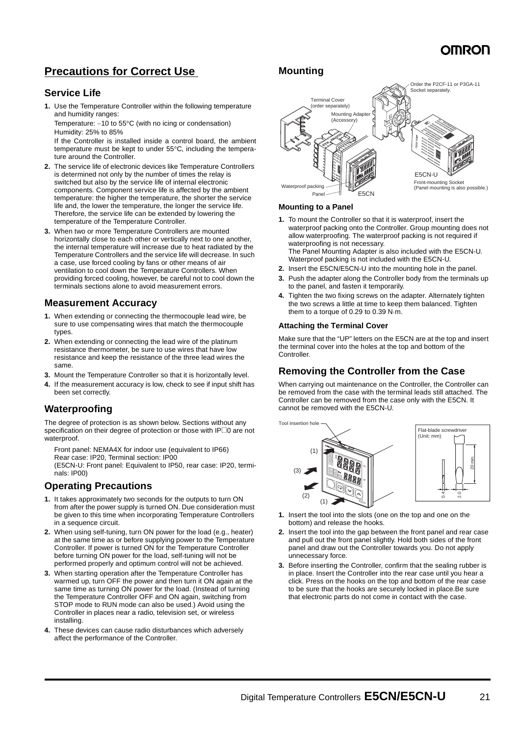## **Precautions for Correct Use**

## **Service Life**

**1.** Use the Temperature Controller within the following temperature and humidity ranges:

Temperature:  $-10$  to 55 $\degree$ C (with no icing or condensation) Humidity: 25% to 85%

If the Controller is installed inside a control board, the ambient temperature must be kept to under 55°C, including the temperature around the Controller.

- **2.** The service life of electronic devices like Temperature Controllers is determined not only by the number of times the relay is switched but also by the service life of internal electronic components. Component service life is affected by the ambient temperature: the higher the temperature, the shorter the service life and, the lower the temperature, the longer the service life. Therefore, the service life can be extended by lowering the temperature of the Temperature Controller.
- **3.** When two or more Temperature Controllers are mounted horizontally close to each other or vertically next to one another, the internal temperature will increase due to heat radiated by the Temperature Controllers and the service life will decrease. In such a case, use forced cooling by fans or other means of air ventilation to cool down the Temperature Controllers. When providing forced cooling, however, be careful not to cool down the terminals sections alone to avoid measurement errors.

## **Measurement Accuracy**

- **1.** When extending or connecting the thermocouple lead wire, be sure to use compensating wires that match the thermocouple types.
- **2.** When extending or connecting the lead wire of the platinum resistance thermometer, be sure to use wires that have low resistance and keep the resistance of the three lead wires the same.
- **3.** Mount the Temperature Controller so that it is horizontally level.
- **4.** If the measurement accuracy is low, check to see if input shift has been set correctly.

## **Waterproofing**

The degree of protection is as shown below. Sections without any specification on their degree of protection or those with IP<sup>1</sup>0 are not waterproof.

Front panel: NEMA4X for indoor use (equivalent to IP66) Rear case: IP20, Terminal section: IP00 (E5CN-U: Front panel: Equivalent to IP50, rear case: IP20, terminals: IP00)

## **Operating Precautions**

- **1.** It takes approximately two seconds for the outputs to turn ON from after the power supply is turned ON. Due consideration must be given to this time when incorporating Temperature Controllers in a sequence circuit.
- **2.** When using self-tuning, turn ON power for the load (e.g., heater) at the same time as or before supplying power to the Temperature Controller. If power is turned ON for the Temperature Controller before turning ON power for the load, self-tuning will not be performed properly and optimum control will not be achieved.
- **3.** When starting operation after the Temperature Controller has warmed up, turn OFF the power and then turn it ON again at the same time as turning ON power for the load. (Instead of turning the Temperature Controller OFF and ON again, switching from STOP mode to RUN mode can also be used.) Avoid using the Controller in places near a radio, television set, or wireless installing.
- **4.** These devices can cause radio disturbances which adversely affect the performance of the Controller.

## **Mounting**



### **Mounting to a Panel**

- **1.** To mount the Controller so that it is waterproof, insert the waterproof packing onto the Controller. Group mounting does not allow waterproofing. The waterproof packing is not required if waterproofing is not necessary. The Panel Mounting Adapter is also included with the E5CN-U.
	- Waterproof packing is not included with the E5CN-U.
- **2.** Insert the E5CN/E5CN-U into the mounting hole in the panel.
- **3.** Push the adapter along the Controller body from the terminals up to the panel, and fasten it temporarily.
- **4.** Tighten the two fixing screws on the adapter. Alternately tighten the two screws a little at time to keep them balanced. Tighten them to a torque of 0.29 to 0.39 N·m.

### **Attaching the Terminal Cover**

Make sure that the "UP" letters on the E5CN are at the top and insert the terminal cover into the holes at the top and bottom of the Controller.

## **Removing the Controller from the Case**

When carrying out maintenance on the Controller, the Controller can be removed from the case with the terminal leads still attached. The Controller can be removed from the case only with the E5CN. It cannot be removed with the E5CN-U.



- **1.** Insert the tool into the slots (one on the top and one on the bottom) and release the hooks.
- **2.** Insert the tool into the gap between the front panel and rear case and pull out the front panel slightly. Hold both sides of the front panel and draw out the Controller towards you. Do not apply unnecessary force.
- **3.** Before inserting the Controller, confirm that the sealing rubber is in place. Insert the Controller into the rear case until you hear a click. Press on the hooks on the top and bottom of the rear case to be sure that the hooks are securely locked in place.Be sure that electronic parts do not come in contact with the case.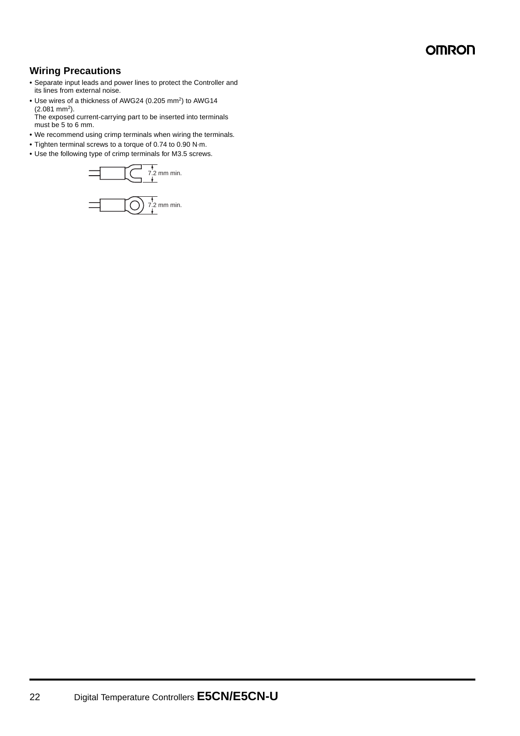## **Wiring Precautions**

- **•** Separate input leads and power lines to protect the Controller and its lines from external noise.
- Use wires of a thickness of AWG24 (0.205 mm<sup>2</sup>) to AWG14  $(2.081$  mm<sup>2</sup>).
- The exposed current-carrying part to be inserted into terminals must be 5 to 6 mm.
- **•** We recommend using crimp terminals when wiring the terminals.
- **•** Tighten terminal screws to a torque of 0.74 to 0.90 N·m.
- **•** Use the following type of crimp terminals for M3.5 screws.